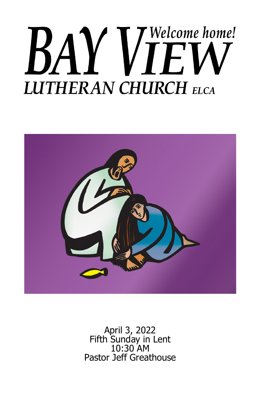# Welcome home! VÏ **LUTHERAN CHURCH ELCA**



April 3, 2022 Fifth Sunday in Lent 10:30 AM Pastor Jeff Greathouse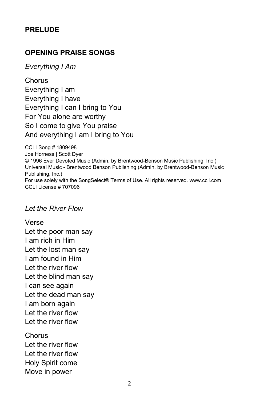## **PRELUDE**

#### **OPENING PRAISE SONGS**

*Everything I Am*

**Chorus** Everything I am Everything I have Everything I can I bring to You For You alone are worthy So I come to give You praise And everything I am I bring to You

CCLI Song # 1809498 Joe Horness | Scott Dyer © 1996 Ever Devoted Music (Admin. by Brentwood-Benson Music Publishing, Inc.) Universal Music - Brentwood Benson Publishing (Admin. by Brentwood-Benson Music Publishing, Inc.) For use solely with the SongSelect® Terms of Use. All rights reserved. www.ccli.com CCLI License # 707096

#### *Let the River Flow*

Verse Let the poor man say I am rich in Him Let the lost man say I am found in Him Let the river flow Let the blind man say I can see again Let the dead man say I am born again Let the river flow Let the river flow **Chorus** 

Let the river flow Let the river flow Holy Spirit come Move in power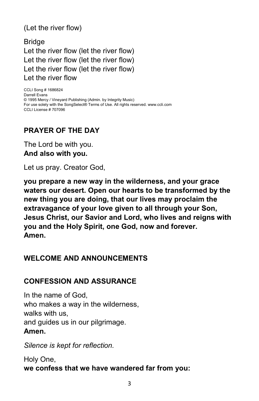(Let the river flow)

Bridge Let the river flow (let the river flow) Let the river flow (let the river flow) Let the river flow (let the river flow) Let the river flow

CCLI Song # 1686824 Darrell Evans © 1995 Mercy / Vineyard Publishing (Admin. by Integrity Music) For use solely with the SongSelect® Terms of Use. All rights reserved. www.ccli.com CCLI License # 707096

# **PRAYER OF THE DAY**

The Lord be with you. **And also with you.**

Let us pray. Creator God,

**you prepare a new way in the wilderness, and your grace waters our desert. Open our hearts to be transformed by the new thing you are doing, that our lives may proclaim the extravagance of your love given to all through your Son, Jesus Christ, our Savior and Lord, who lives and reigns with you and the Holy Spirit, one God, now and forever. Amen.**

## **WELCOME AND ANNOUNCEMENTS**

## **CONFESSION AND ASSURANCE**

In the name of God, who makes a way in the wilderness, walks with us, and guides us in our pilgrimage. **Amen.**

*Silence is kept for reflection.*

Holy One, **we confess that we have wandered far from you:**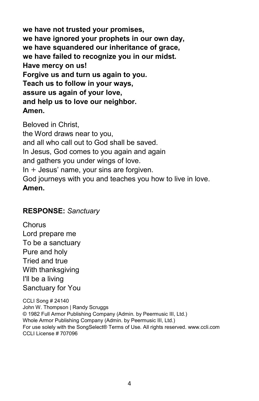**we have not trusted your promises, we have ignored your prophets in our own day, we have squandered our inheritance of grace, we have failed to recognize you in our midst. Have mercy on us! Forgive us and turn us again to you. Teach us to follow in your ways, assure us again of your love, and help us to love our neighbor. Amen.**

Beloved in Christ, the Word draws near to you, and all who call out to God shall be saved. In Jesus, God comes to you again and again and gathers you under wings of love. In  $+$  Jesus' name, your sins are forgiven. God journeys with you and teaches you how to live in love. **Amen.**

## **RESPONSE:** *Sanctuary*

**Chorus** Lord prepare me To be a sanctuary Pure and holy Tried and true With thanksgiving I'll be a living Sanctuary for You

CCLI Song # 24140 John W. Thompson | Randy Scruggs © 1982 Full Armor Publishing Company (Admin. by Peermusic III, Ltd.) Whole Armor Publishing Company (Admin. by Peermusic III, Ltd.) For use solely with the SongSelect® Terms of Use. All rights reserved. www.ccli.com CCLI License # 707096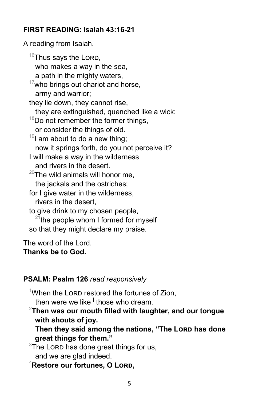# **FIRST READING: Isaiah 43:16-21**

A reading from Isaiah.

 $16$ Thus says the LORD, who makes a way in the sea, a path in the mighty waters,  $17$ who brings out chariot and horse, army and warrior; they lie down, they cannot rise, they are extinguished, quenched like a wick:  $18$ Do not remember the former things, or consider the things of old.  $19$ I am about to do a new thing; now it springs forth, do you not perceive it? I will make a way in the wilderness and rivers in the desert.  $20$ The wild animals will honor me. the jackals and the ostriches; for I give water in the wilderness, rivers in the desert, to give drink to my chosen people,  $^{21}$ the people whom I formed for myself so that they might declare my praise.

The word of the Lord.

# **Thanks be to God.**

# **PSALM: Psalm 126** *read responsively*

 $1$ When the Lorp restored the fortunes of Zion,

then were we like <sup>I</sup> those who dream.

2 **Then was our mouth filled with laughter, and our tongue with shouts of joy.**

 **Then they said among the nations, "The Lord has done great things for them."**

 $^3$ The Lo $\bar{\textbf{r}}$ p has done great things for us,

and we are glad indeed.

<sup>4</sup>**Restore our fortunes, O Lord,**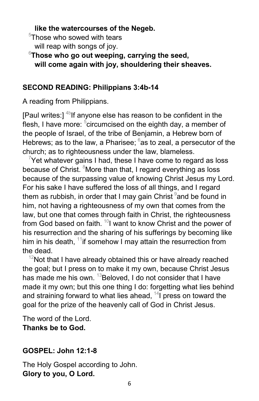## **like the watercourses of the Negeb.**

 ${}^5$ Those who sowed with tears will reap with songs of joy.

6 **Those who go out weeping, carrying the seed, will come again with joy, shouldering their sheaves.**

# **SECOND READING: Philippians 3:4b-14**

A reading from Philippians.

[Paul writes:]  $4b$  If anyone else has reason to be confident in the flesh, I have more:  $^5$ circumcised on the eighth day, a member of the people of Israel, of the tribe of Benjamin, a Hebrew born of Hebrews; as to the law, a Pharisee;  $^6$ as to zeal, a persecutor of the church; as to righteousness under the law, blameless.

 $7$ Yet whatever gains I had, these I have come to regard as loss because of Christ. <sup>8</sup>More than that, I regard everything as loss because of the surpassing value of knowing Christ Jesus my Lord. For his sake I have suffered the loss of all things, and I regard them as rubbish, in order that I may gain Christ  $^9$ and be found in  $\,$ him, not having a righteousness of my own that comes from the law, but one that comes through faith in Christ, the righteousness from God based on faith.  $10$ I want to know Christ and the power of his resurrection and the sharing of his sufferings by becoming like him in his death,  $11$  if somehow I may attain the resurrection from the dead.

 $12$ Not that I have already obtained this or have already reached the goal; but I press on to make it my own, because Christ Jesus has made me his own.  $13B$  Beloved, I do not consider that I have made it my own; but this one thing I do: forgetting what lies behind and straining forward to what lies ahead,  $14$  press on toward the goal for the prize of the heavenly call of God in Christ Jesus.

The word of the Lord. **Thanks be to God.**

# **GOSPEL: John 12:1-8**

The Holy Gospel according to John. **Glory to you, O Lord.**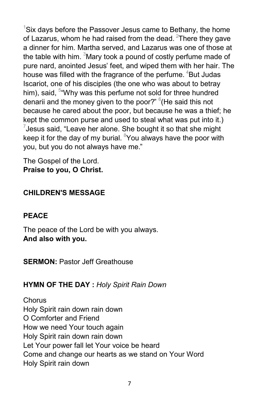$1$ Six days before the Passover Jesus came to Bethany, the home of Lazarus, whom he had raised from the dead.  ${}^{2}$ There they gave a dinner for him. Martha served, and Lazarus was one of those at the table with him.  $3$ Mary took a pound of costly perfume made of pure nard, anointed Jesus' feet, and wiped them with her hair. The house was filled with the fragrance of the perfume.  $4$ But Judas Iscariot, one of his disciples (the one who was about to betray him), said, <sup>5</sup>"Why was this perfume not sold for three hundred denarii and the money given to the poor?" <sup>6</sup>(He said this not because he cared about the poor, but because he was a thief; he kept the common purse and used to steal what was put into it.)  $^{7}$ Jesus said, "Leave her alone. She bought it so that she might keep it for the day of my burial. <sup>8</sup>You always have the poor with you, but you do not always have me."

The Gospel of the Lord. **Praise to you, O Christ.**

# **CHILDREN'S MESSAGE**

# **PEACE**

The peace of the Lord be with you always. **And also with you.**

**SERMON: Pastor Jeff Greathouse** 

## **HYMN OF THE DAY :** *Holy Spirit Rain Down*

**Chorus** Holy Spirit rain down rain down O Comforter and Friend How we need Your touch again Holy Spirit rain down rain down Let Your power fall let Your voice be heard Come and change our hearts as we stand on Your Word Holy Spirit rain down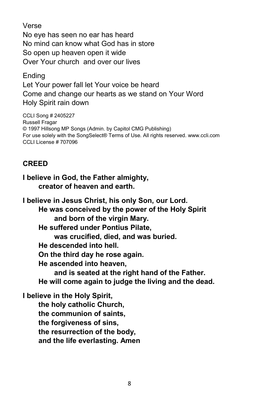Verse No eye has seen no ear has heard No mind can know what God has in store So open up heaven open it wide Over Your church and over our lives

Ending Let Your power fall let Your voice be heard Come and change our hearts as we stand on Your Word Holy Spirit rain down

CCLI Song # 2405227 Russell Fragar © 1997 Hillsong MP Songs (Admin. by Capitol CMG Publishing) For use solely with the SongSelect® Terms of Use. All rights reserved. www.ccli.com CCLI License # 707096

## **CREED**

**I believe in God, the Father almighty, creator of heaven and earth.**

**I believe in Jesus Christ, his only Son, our Lord. He was conceived by the power of the Holy Spirit and born of the virgin Mary. He suffered under Pontius Pilate, was crucified, died, and was buried. He descended into hell. On the third day he rose again. He ascended into heaven, and is seated at the right hand of the Father. He will come again to judge the living and the dead. I believe in the Holy Spirit, the holy catholic Church, the communion of saints, the forgiveness of sins, the resurrection of the body, and the life everlasting. Amen**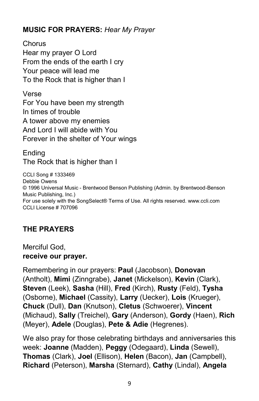# **MUSIC FOR PRAYERS:** *Hear My Prayer*

**Chorus** Hear my prayer O Lord From the ends of the earth I cry Your peace will lead me To the Rock that is higher than I

Verse For You have been my strength In times of trouble A tower above my enemies And Lord I will abide with You Forever in the shelter of Your wings

Ending The Rock that is higher than I

CCLI Song # 1333469 Debbie Owens © 1996 Universal Music - Brentwood Benson Publishing (Admin. by Brentwood-Benson Music Publishing, Inc.) For use solely with the SongSelect® Terms of Use. All rights reserved. www.ccli.com CCLI License # 707096

# **THE PRAYERS**

Merciful God, **receive our prayer.**

Remembering in our prayers: **Paul** (Jacobson), **Donovan**  (Antholt), **Mimi** (Zinngrabe), **Janet** (Mickelson), **Kevin** (Clark), **Steven** (Leek), **Sasha** (Hill), **Fred** (Kirch), **Rusty** (Feld), **Tysha**  (Osborne), **Michael** (Cassity), **Larry** (Uecker), **Lois** (Krueger), **Chuck** (Dull), **Dan** (Knutson), **Cletus** (Schwoerer), **Vincent**  (Michaud), **Sally** (Treichel), **Gary** (Anderson), **Gordy** (Haen), **Rich**  (Meyer), **Adele** (Douglas), **Pete & Adie** (Hegrenes).

We also pray for those celebrating birthdays and anniversaries this week: **Joanne** (Madden), **Peggy** (Odegaard), **Linda** (Sewell), **Thomas** (Clark), **Joel** (Ellison), **Helen** (Bacon), **Jan** (Campbell), **Richard** (Peterson), **Marsha** (Sternard), **Cathy** (Lindal), **Angela**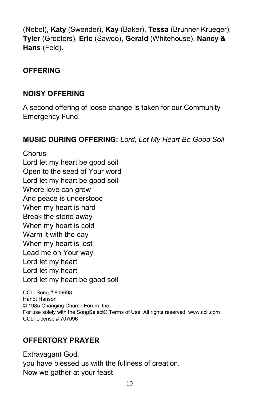(Nebel), **Katy** (Swender), **Kay** (Baker), **Tessa** (Brunner-Krueger), **Tyler** (Grooters), **Eric** (Sawdo), **Gerald** (Whitehouse), **Nancy & Hans** (Feld).

# **OFFERING**

## **NOISY OFFERING**

A second offering of loose change is taken for our Community Emergency Fund.

## **MUSIC DURING OFFERING:** *Lord, Let My Heart Be Good Soil*

**Chorus** Lord let my heart be good soil Open to the seed of Your word Lord let my heart be good soil Where love can grow And peace is understood When my heart is hard Break the stone away When my heart is cold Warm it with the day When my heart is lost Lead me on Your way Lord let my heart Lord let my heart Lord let my heart be good soil

CCLI Song # 806698 Handt Hanson © 1985 Changing Church Forum, Inc. For use solely with the SongSelect® Terms of Use. All rights reserved. www.ccli.com CCLI License # 707096

# **OFFERTORY PRAYER**

Extravagant God, you have blessed us with the fullness of creation. Now we gather at your feast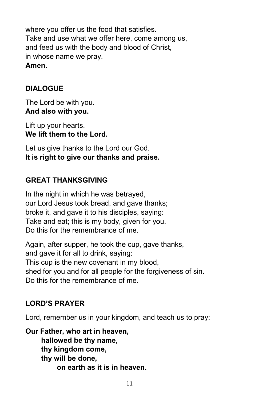where you offer us the food that satisfies. Take and use what we offer here, come among us, and feed us with the body and blood of Christ, in whose name we pray. **Amen.**

# **DIALOGUE**

The Lord be with you. **And also with you.**

Lift up your hearts. **We lift them to the Lord.**

Let us give thanks to the Lord our God. **It is right to give our thanks and praise.**

# **GREAT THANKSGIVING**

In the night in which he was betrayed, our Lord Jesus took bread, and gave thanks; broke it, and gave it to his disciples, saying: Take and eat; this is my body, given for you. Do this for the remembrance of me.

Again, after supper, he took the cup, gave thanks, and gave it for all to drink, saying: This cup is the new covenant in my blood, shed for you and for all people for the forgiveness of sin. Do this for the remembrance of me.

# **LORD'S PRAYER**

Lord, remember us in your kingdom, and teach us to pray:

**Our Father, who art in heaven, hallowed be thy name, thy kingdom come, thy will be done, on earth as it is in heaven.**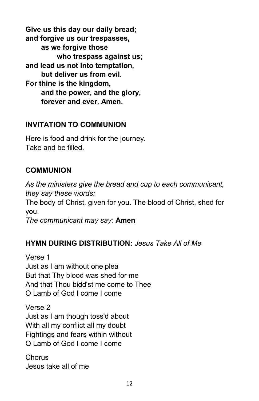**Give us this day our daily bread; and forgive us our trespasses, as we forgive those who trespass against us; and lead us not into temptation, but deliver us from evil. For thine is the kingdom, and the power, and the glory, forever and ever. Amen.**

## **INVITATION TO COMMUNION**

Here is food and drink for the journey. Take and be filled.

## **COMMUNION**

*As the ministers give the bread and cup to each communicant, they say these words:*

The body of Christ, given for you. The blood of Christ, shed for you.

*The communicant may say:* **Amen**

## **HYMN DURING DISTRIBUTION:** *Jesus Take All of Me*

Verse 1 Just as I am without one plea But that Thy blood was shed for me And that Thou bidd'st me come to Thee O Lamb of God I come I come

Verse 2 Just as I am though toss'd about With all my conflict all my doubt Fightings and fears within without O Lamb of God I come I come

**Chorus** Jesus take all of me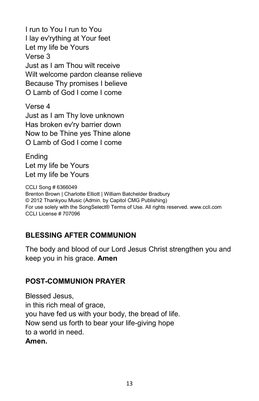I run to You I run to You I lay ev'rything at Your feet Let my life be Yours Verse 3 Just as I am Thou wilt receive Wilt welcome pardon cleanse relieve Because Thy promises I believe O Lamb of God I come I come

Verse 4 Just as I am Thy love unknown Has broken ev'ry barrier down Now to be Thine yes Thine alone O Lamb of God I come I come

Ending Let my life be Yours Let my life be Yours

CCLI Song # 6366049 Brenton Brown | Charlotte Elliott | William Batchelder Bradbury © 2012 Thankyou Music (Admin. by Capitol CMG Publishing) For use solely with the SongSelect® Terms of Use. All rights reserved. www.ccli.com CCLI License # 707096

# **BLESSING AFTER COMMUNION**

The body and blood of our Lord Jesus Christ strengthen you and keep you in his grace. **Amen**

# **POST-COMMUNION PRAYER**

Blessed Jesus, in this rich meal of grace, you have fed us with your body, the bread of life. Now send us forth to bear your life-giving hope to a world in need. **Amen.**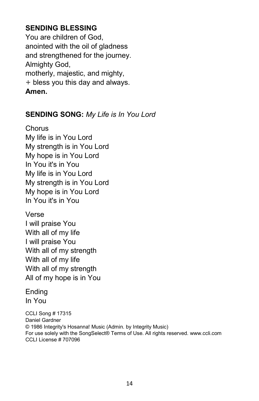# **SENDING BLESSING**

You are children of God, anointed with the oil of gladness and strengthened for the journey. Almighty God, motherly, majestic, and mighty,  $+$  bless you this day and always. **Amen.**

# **SENDING SONG:** *My Life is In You Lord*

**Chorus** My life is in You Lord My strength is in You Lord My hope is in You Lord In You it's in You My life is in You Lord My strength is in You Lord My hope is in You Lord In You it's in You

Verse I will praise You With all of my life I will praise You With all of my strength With all of my life With all of my strength All of my hope is in You

#### Ending In You

CCLI Song # 17315 Daniel Gardner © 1986 Integrity's Hosanna! Music (Admin. by Integrity Music) For use solely with the SongSelect® Terms of Use. All rights reserved. www.ccli.com CCLI License # 707096